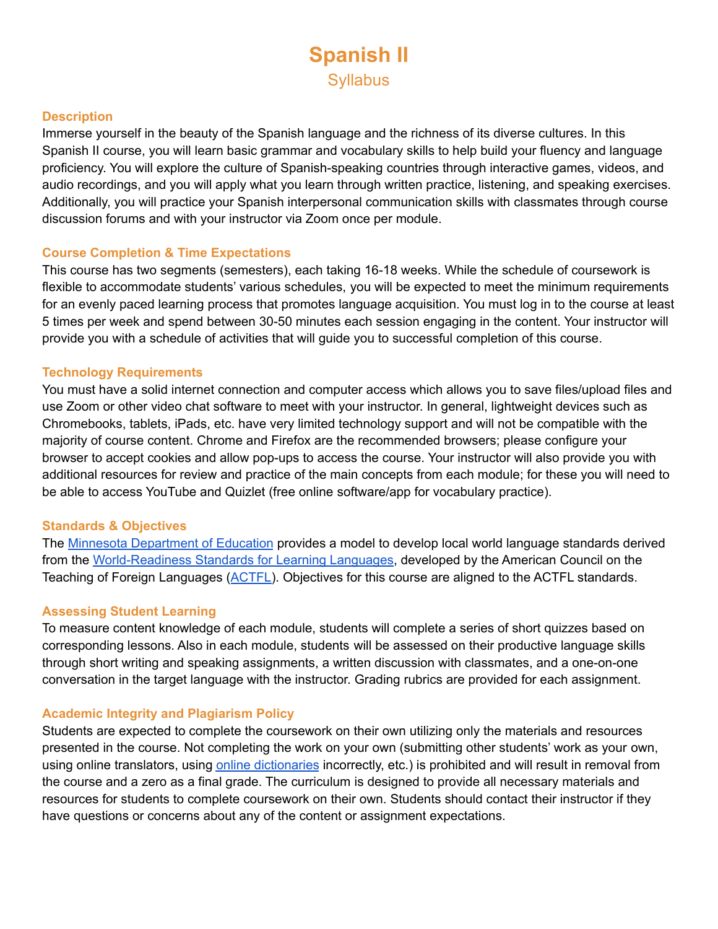# **Spanish II Syllabus**

#### **Description**

Immerse yourself in the beauty of the Spanish language and the richness of its diverse cultures. In this Spanish II course, you will learn basic grammar and vocabulary skills to help build your fluency and language proficiency. You will explore the culture of Spanish-speaking countries through interactive games, videos, and audio recordings, and you will apply what you learn through written practice, listening, and speaking exercises. Additionally, you will practice your Spanish interpersonal communication skills with classmates through course discussion forums and with your instructor via Zoom once per module.

#### **Course Completion & Time Expectations**

This course has two segments (semesters), each taking 16-18 weeks. While the schedule of coursework is flexible to accommodate students' various schedules, you will be expected to meet the minimum requirements for an evenly paced learning process that promotes language acquisition. You must log in to the course at least 5 times per week and spend between 30-50 minutes each session engaging in the content. Your instructor will provide you with a schedule of activities that will guide you to successful completion of this course.

#### **Technology Requirements**

You must have a solid internet connection and computer access which allows you to save files/upload files and use Zoom or other video chat software to meet with your instructor. In general, lightweight devices such as Chromebooks, tablets, iPads, etc. have very limited technology support and will not be compatible with the majority of course content. Chrome and Firefox are the recommended browsers; please configure your browser to accept cookies and allow pop-ups to access the course. Your instructor will also provide you with additional resources for review and practice of the main concepts from each module; for these you will need to be able to access YouTube and Quizlet (free online software/app for vocabulary practice).

### **Standards & Objectives**

The Minnesota [Department](https://education.mn.gov/MDE/dse/stds/world/) of Education provides a model to develop local world language standards derived from the [World-Readiness](https://www.actfl.org/sites/default/files/publications/standards/World-ReadinessStandardsforLearningLanguages.pdf) Standards for Learning Languages, developed by the American Council on the Teaching of Foreign Languages ([ACTFL\)](https://www.actfl.org/). Objectives for this course are aligned to the ACTFL standards.

#### **Assessing Student Learning**

To measure content knowledge of each module, students will complete a series of short quizzes based on corresponding lessons. Also in each module, students will be assessed on their productive language skills through short writing and speaking assignments, a written discussion with classmates, and a one-on-one conversation in the target language with the instructor. Grading rubrics are provided for each assignment.

### **Academic Integrity and Plagiarism Policy**

Students are expected to complete the coursework on their own utilizing only the materials and resources presented in the course. Not completing the work on your own (submitting other students' work as your own, using online translators, using online [dictionaries](https://screencast-o-matic.com/watch/cYQQrXHNkY) incorrectly, etc.) is prohibited and will result in removal from the course and a zero as a final grade. The curriculum is designed to provide all necessary materials and resources for students to complete coursework on their own. Students should contact their instructor if they have questions or concerns about any of the content or assignment expectations.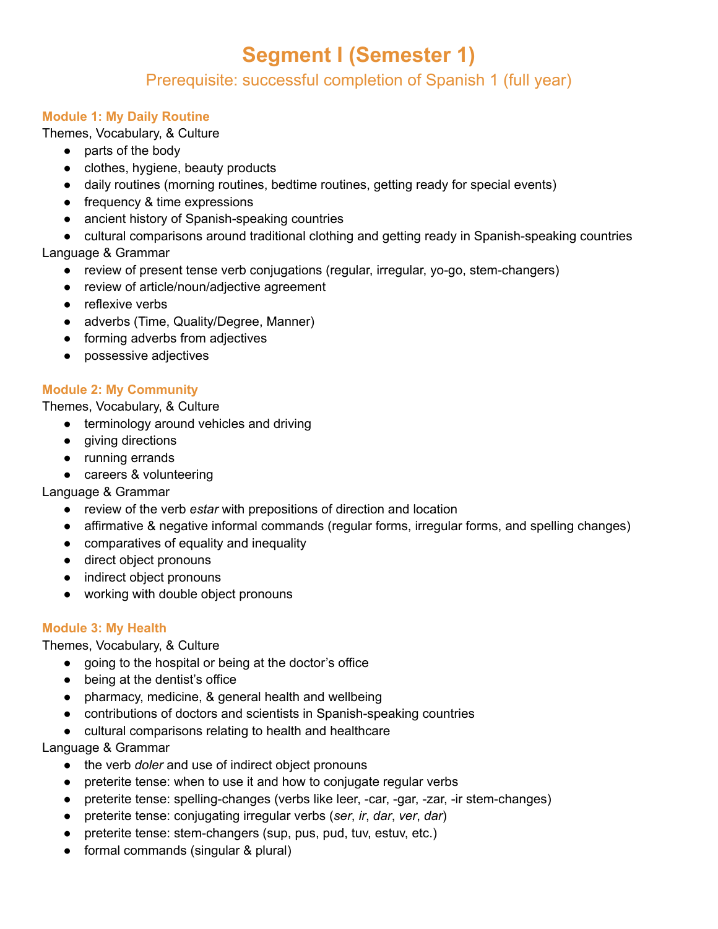# **Segment I (Semester 1)**

# Prerequisite: successful completion of Spanish 1 (full year)

## **Module 1: My Daily Routine**

Themes, Vocabulary, & Culture

- parts of the body
- clothes, hygiene, beauty products
- daily routines (morning routines, bedtime routines, getting ready for special events)
- frequency & time expressions
- ancient history of Spanish-speaking countries
- cultural comparisons around traditional clothing and getting ready in Spanish-speaking countries Language & Grammar
	- review of present tense verb conjugations (regular, irregular, yo-go, stem-changers)
	- review of article/noun/adjective agreement
	- reflexive verbs
	- adverbs (Time, Quality/Degree, Manner)
	- forming adverbs from adjectives
	- possessive adjectives

## **Module 2: My Community**

Themes, Vocabulary, & Culture

- terminology around vehicles and driving
- giving directions
- running errands
- careers & volunteering

Language & Grammar

- review of the verb *estar* with prepositions of direction and location
- affirmative & negative informal commands (regular forms, irregular forms, and spelling changes)
- comparatives of equality and inequality
- direct object pronouns
- indirect object pronouns
- working with double object pronouns

## **Module 3: My Health**

Themes, Vocabulary, & Culture

- going to the hospital or being at the doctor's office
- being at the dentist's office
- pharmacy, medicine, & general health and wellbeing
- contributions of doctors and scientists in Spanish-speaking countries
- cultural comparisons relating to health and healthcare

Language & Grammar

- the verb *doler* and use of indirect object pronouns
- preterite tense: when to use it and how to conjugate regular verbs
- preterite tense: spelling-changes (verbs like leer, -car, -gar, -zar, -ir stem-changes)
- preterite tense: conjugating irregular verbs (*ser*, *ir*, *dar*, *ver*, *dar*)
- preterite tense: stem-changers (sup, pus, pud, tuv, estuv, etc.)
- formal commands (singular & plural)